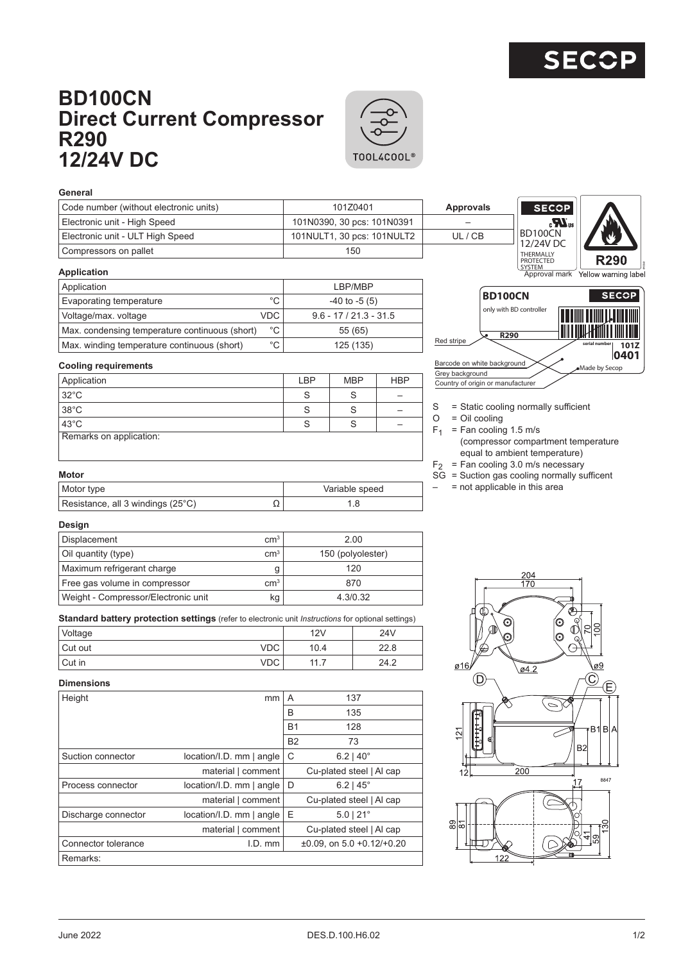## **BD100CN Direct Current Compressor R290 12/24V DC**



## **General**

| Code number (without electronic units) | 101Z0401                   | Approvals | <b>SECCI</b>                  |
|----------------------------------------|----------------------------|-----------|-------------------------------|
| Electronic unit - High Speed           | 101N0390, 30 pcs: 101N0391 | –         | Æ.                            |
| Electronic unit - ULT High Speed       | 101NULT1, 30 pcs: 101NULT2 | UL/CB     | <b>BD100CN</b><br>12/24V DC   |
| l Compressors on pallet                | 150                        |           | THERMALLY<br><b>DRATECTED</b> |



| $9.6 - 17 / 21.3 - 31.5$ |
|--------------------------|
|                          |
|                          |
|                          |



**COP** IR.

**Cooling requirements**

| Application             | LBP | <b>MBP</b> | <b>HBP</b> |
|-------------------------|-----|------------|------------|
| $32^{\circ}$ C          |     | S          |            |
| 38°C                    | c   | S          |            |
| $43^{\circ}$ C          | ◡   | c          |            |
| Remarks on application: |     |            |            |



- $O = Oil$  cooling
- $F_1$  = Fan cooling 1.5 m/s (compressor compartment temperature equal to ambient temperature)
- $F_2$  = Fan cooling 3.0 m/s necessary
- $SG =$  Suction gas cooling normally sufficent
- $-$  = not applicable in this area

## Resistance, all 3 windings (25°C)  $\Omega$  1.8

**Motor**

| Design                              |                 |                   |
|-------------------------------------|-----------------|-------------------|
| Displacement                        | cm <sup>3</sup> | 2.00              |
| Oil quantity (type)                 | cm <sup>3</sup> | 150 (polyolester) |
| Maximum refrigerant charge          | g               | 120               |
| Free gas volume in compressor       | cm <sup>3</sup> | 870               |
| Weight - Compressor/Electronic unit | kg              | 4.3/0.32          |

Motor type **Variable speed Variable speed** 

**Standard battery protection settings** (refer to electronic unit *Instructions* for optional settings)

| Voltage  |     | 12V      | 24V  |
|----------|-----|----------|------|
| Cut out  | VDC | 10.4     | 22.8 |
| l Cut in | VDC | 117<br>. | 24.2 |

## **Dimensions**

| Height              | mm                       | A         | 137                                     |
|---------------------|--------------------------|-----------|-----------------------------------------|
|                     |                          | B         | 135                                     |
|                     |                          | <b>B1</b> | 128                                     |
|                     |                          | <b>B2</b> | 73                                      |
| Suction connector   | location/I.D. mm   angle | С         | $6.2$   40 $^{\circ}$                   |
|                     | material   comment       |           | Cu-plated steel   Al cap                |
| Process connector   | location/I.D. mm   angle | D         | $6.2$   $45^{\circ}$                    |
|                     | material   comment       |           | Cu-plated steel   Al cap                |
| Discharge connector | location/I.D. mm   angle | Ε         | $5.0$   $21^{\circ}$                    |
|                     | material   comment       |           | Cu-plated steel   Al cap                |
| Connector tolerance | I.D. mm                  |           | $\pm 0.09$ , on 5.0 $\pm 0.12/\pm 0.20$ |
| Remarks:            |                          |           |                                         |